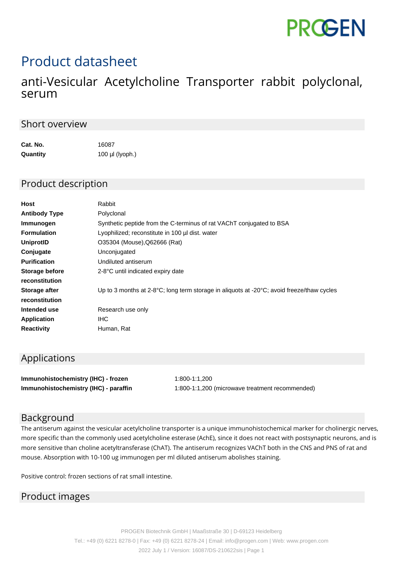

# Product datasheet

## anti-Vesicular Acetylcholine Transporter rabbit polyclonal, serum

#### Short overview

| Cat. No. | 16087             |
|----------|-------------------|
| Quantity | $100$ µl (lyoph.) |

#### Product description

| Host                 | Rabbit                                                                                                       |
|----------------------|--------------------------------------------------------------------------------------------------------------|
| <b>Antibody Type</b> | Polyclonal                                                                                                   |
| Immunogen            | Synthetic peptide from the C-terminus of rat VAChT conjugated to BSA                                         |
| <b>Formulation</b>   | Lyophilized; reconstitute in 100 µl dist. water                                                              |
| UniprotID            | O35304 (Mouse), Q62666 (Rat)                                                                                 |
| Conjugate            | Unconjugated                                                                                                 |
| <b>Purification</b>  | Undiluted antiserum                                                                                          |
| Storage before       | 2-8°C until indicated expiry date                                                                            |
| reconstitution       |                                                                                                              |
| Storage after        | Up to 3 months at $2-8\degree$ C; long term storage in aliquots at -20 $\degree$ C; avoid freeze/thaw cycles |
| reconstitution       |                                                                                                              |
| Intended use         | Research use only                                                                                            |
| Application          | IHC.                                                                                                         |
| <b>Reactivity</b>    | Human, Rat                                                                                                   |

### Applications

**Immunohistochemistry (IHC) - frozen** 1:800-1:1,200 **Immunohistochemistry (IHC) - paraffin** 1:800-1:1,200 (microwave treatment recommended)

#### Background

The antiserum against the vesicular acetylcholine transporter is a unique immunohistochemical marker for cholinergic nerves, more specific than the commonly used acetylcholine esterase (AchE), since it does not react with postsynaptic neurons, and is more sensitive than choline acetyltransferase (ChAT). The antiserum recognizes VAChT both in the CNS and PNS of rat and mouse. Absorption with 10-100 ug immunogen per ml diluted antiserum abolishes staining.

Positive control: frozen sections of rat small intestine.

#### Product images